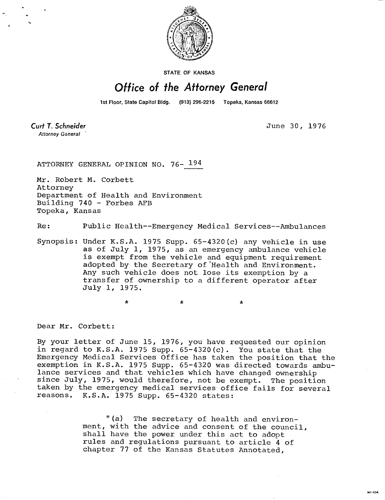

**STATE OF KANSAS** 

## Office of the Attorney General

1st Floor, State Capitol Bldg. (913) 296-2215 Topeka, Kansas 66612

**Curt T. Schneider Attorney General** 

June 30, 1976

ATTORNEY GENERAL OPINION NO. 76- 194

Mr. Robert M. Corbett Attorney Department of Health and Environment Building 740 - Forbes AFB Topeka, Kansas

 $\star$ 

Re: Public Health--Emergency Medical Services--Ambulances

Synopsis: Under K.S.A. 1975 Supp. 65-4320(c) any vehicle in use as of July 1, 1975, as an emergency ambulance vehicle is exempt from the vehicle and equipment requirement adopted by the Secretary of Health and Environment. Any such vehicle does not lose its exemption by a transfer of ownership to a different operator after July 1, 1975.

 $\star$ 

Dear Mr. Corbett:

By your letter of June 15, 1976, you have requested our opinion in regard to K.S.A. 1975 Supp.  $65-4320(c)$ . You state that the Emergency Medical Services Office has taken the position that the exemption in K.S.A. 1975 Supp. 65-4320 was directed towards ambulance services and that vehicles which have changed ownership since July, 1975, would therefore, not be exempt. The position taken by the emergency medical services office fails for several reasons. K.S.A. 1975 Supp. 65-4320 states:

> "(a) The secretary of health and environment, with the advice and consent of the council, shall have the power under this act to adopt rules and regulations pursuant to article 4 of chapter 77 of the Kansas Statutes Annotated,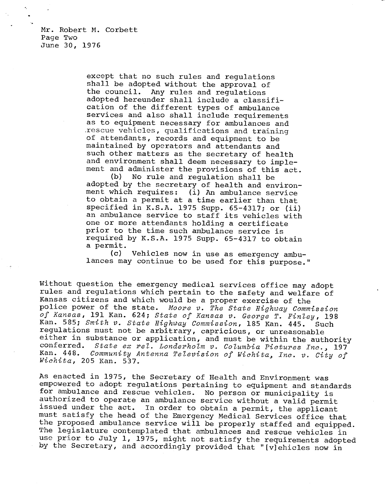Mr. Robert M. Corbett Page Two June 30, 1976

> except that no such rules and regulations shall be adopted without the approval of the council. Any rules and regulations adopted hereunder shall include a classification of the different types of ambulance services and also shall include requirements as to equipment necessary for ambulances and ,rescue vehicles, qualifications and training of attendants, records and equipment to be maintained by operators and attendants and such other matters as the secretary of health and environment shall deem necessary to implement and administer the provisions of this act.

(b) No rule and regulation shall be adopted by the secretary of health and environment which requires: (i) An ambulance service to obtain a permit at a time earlier than that specified in K.S.A. 1975 Supp. 65-4317; or (ii) an ambulance service to staff its vehicles with one or more attendants holding a certificate prior to the time such ambulance service is required by K.S.A. 1975 Supp. 65-4317 to obtain a permit.

(c) Vehicles now in use as emergency ambulances may continue to be used for this purpose."

Without question the emergency medical services office may adopt rules and regulations which pertain to the safety and welfare of Kansas citizens and which would be a proper exercise of the police power of the state. Moore v. The State Highway Commission of Kansas, 191 Kan. 624; State of Kansas v. George T. Finley, 198 Kan. 585; Smith v. State Highway Commission, 185 Kan. 445. Such regulations must not be arbitrary, capricious, or unreasonable either in substance or application, and must be within the authority conferred. State ex rel. Londerholm v. Columbia Pictures Inc., 197 Kan. 448. Community Antenna Television of Wichita, Inc. v. City of Wichita, 205 Kan. 537.

As enacted in 1975, the Secretary of Health and Environment was empowered to adopt regulations pertaining to equipment and standards for ambulance and rescue vehicles. No person or municipality is authorized to operate an ambulance service without a valid permit issued under the act. In order to obtain a permit, the applicant must satisfy the head of the Emergency Medical Services office that the proposed ambulance service will be properly staffed and equipped. The legislature contemplated that ambulances and rescue vehicles in use prior to July 1, 1975, might not satisfy the requirements adopted by the Secretary, and accordingly provided that "[v]ehicles now in